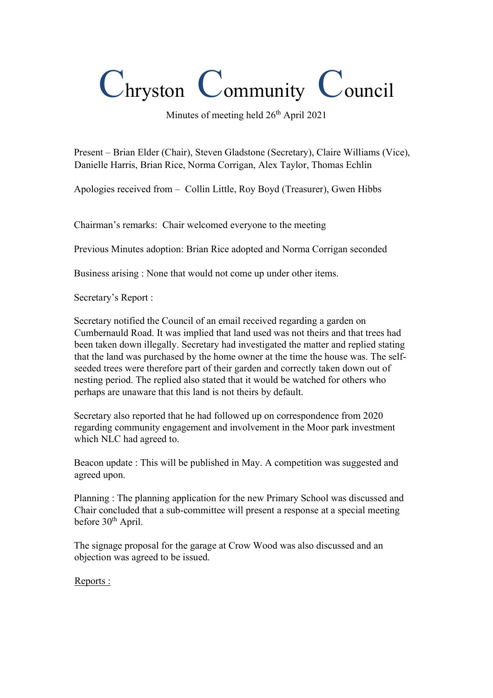## Chryston Community Council

Minutes of meeting held  $26<sup>th</sup>$  April 2021

Present – Brian Elder (Chair), Steven Gladstone (Secretary), Claire Williams (Vice), Danielle Harris, Brian Rice, Norma Corrigan, Alex Taylor, Thomas Echlin

Apologies received from – Collin Little, Roy Boyd (Treasurer), Gwen Hibbs

Chairman's remarks: Chair welcomed everyone to the meeting

Previous Minutes adoption: Brian Rice adopted and Norma Corrigan seconded

Business arising : None that would not come up under other items.

Secretary's Report :

Secretary notified the Council of an email received regarding a garden on Cumbernauld Road. It was implied that land used was not theirs and that trees had been taken down illegally. Secretary had investigated the matter and replied stating that the land was purchased by the home owner at the time the house was. The selfseeded trees were therefore part of their garden and correctly taken down out of nesting period. The replied also stated that it would be watched for others who perhaps are unaware that this land is not theirs by default.

Secretary also reported that he had followed up on correspondence from 2020 regarding community engagement and involvement in the Moor park investment which NLC had agreed to.

Beacon update : This will be published in May. A competition was suggested and agreed upon.

Planning : The planning application for the new Primary School was discussed and Chair concluded that a sub-committee will present a response at a special meeting before 30<sup>th</sup> April.

The signage proposal for the garage at Crow Wood was also discussed and an objection was agreed to be issued.

Reports :